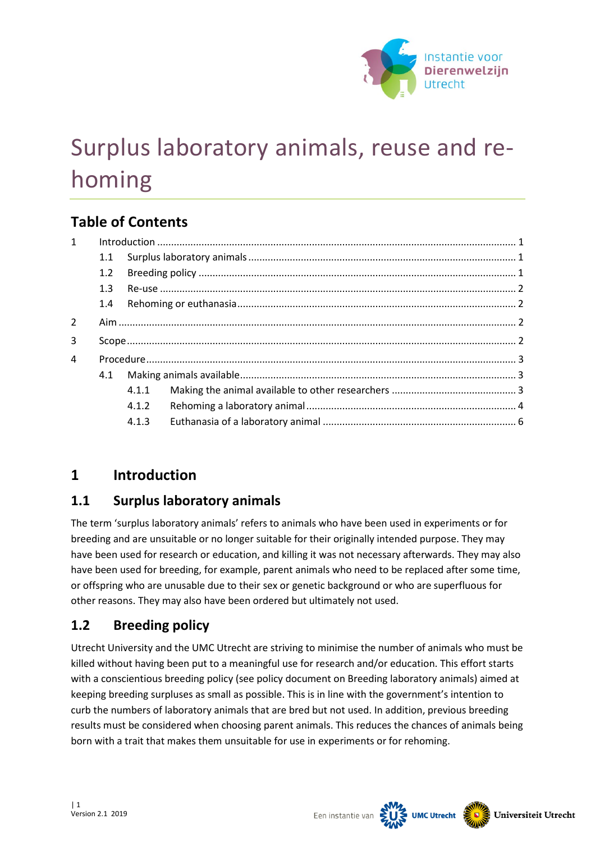

# Surplus laboratory animals, reuse and rehoming

# **Table of Contents**

| $\mathbf{1}$   |     |       |  |  |
|----------------|-----|-------|--|--|
|                | 1.1 |       |  |  |
|                | 1.2 |       |  |  |
| 1.3            |     |       |  |  |
|                | 1.4 |       |  |  |
| $\overline{2}$ |     |       |  |  |
| 3              |     |       |  |  |
| 4              |     |       |  |  |
| 4.1            |     |       |  |  |
|                |     | 4.1.1 |  |  |
|                |     | 4.1.2 |  |  |
|                |     | 4.1.3 |  |  |

# <span id="page-0-0"></span>**1 Introduction**

## <span id="page-0-1"></span>**1.1 Surplus laboratory animals**

The term 'surplus laboratory animals' refers to animals who have been used in experiments or for breeding and are unsuitable or no longer suitable for their originally intended purpose. They may have been used for research or education, and killing it was not necessary afterwards. They may also have been used for breeding, for example, parent animals who need to be replaced after some time, or offspring who are unusable due to their sex or genetic background or who are superfluous for other reasons. They may also have been ordered but ultimately not used.

# <span id="page-0-2"></span>**1.2 Breeding policy**

Utrecht University and the UMC Utrecht are striving to minimise the number of animals who must be killed without having been put to a meaningful use for research and/or education. This effort starts with a conscientious breeding policy (see policy document on Breeding laboratory animals) aimed at keeping breeding surpluses as small as possible. This is in line with the government's intention to curb the numbers of laboratory animals that are bred but not used. In addition, previous breeding results must be considered when choosing parent animals. This reduces the chances of animals being born with a trait that makes them unsuitable for use in experiments or for rehoming.

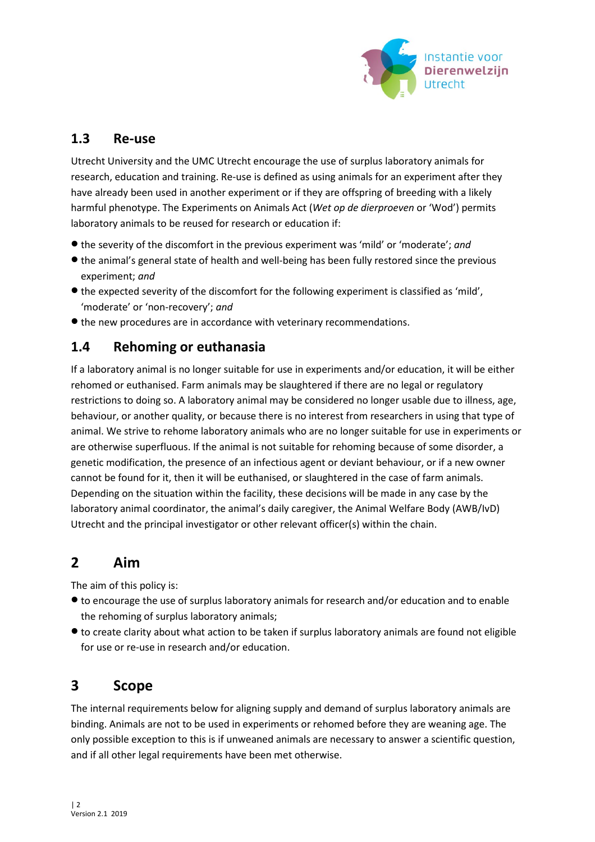

## <span id="page-1-0"></span>**1.3 Re-use**

Utrecht University and the UMC Utrecht encourage the use of surplus laboratory animals for research, education and training. Re-use is defined as using animals for an experiment after they have already been used in another experiment or if they are offspring of breeding with a likely harmful phenotype. The Experiments on Animals Act (*Wet op de dierproeven* or 'Wod') permits laboratory animals to be reused for research or education if:

- the severity of the discomfort in the previous experiment was 'mild' or 'moderate'; *and*
- the animal's general state of health and well-being has been fully restored since the previous experiment; *and*
- the expected severity of the discomfort for the following experiment is classified as 'mild', 'moderate' or 'non-recovery'; *and*
- the new procedures are in accordance with veterinary recommendations.

## <span id="page-1-1"></span>**1.4 Rehoming or euthanasia**

If a laboratory animal is no longer suitable for use in experiments and/or education, it will be either rehomed or euthanised. Farm animals may be slaughtered if there are no legal or regulatory restrictions to doing so. A laboratory animal may be considered no longer usable due to illness, age, behaviour, or another quality, or because there is no interest from researchers in using that type of animal. We strive to rehome laboratory animals who are no longer suitable for use in experiments or are otherwise superfluous. If the animal is not suitable for rehoming because of some disorder, a genetic modification, the presence of an infectious agent or deviant behaviour, or if a new owner cannot be found for it, then it will be euthanised, or slaughtered in the case of farm animals. Depending on the situation within the facility, these decisions will be made in any case by the laboratory animal coordinator, the animal's daily caregiver, the Animal Welfare Body (AWB/IvD) Utrecht and the principal investigator or other relevant officer(s) within the chain.

# <span id="page-1-2"></span>**2 Aim**

The aim of this policy is:

- to encourage the use of surplus laboratory animals for research and/or education and to enable the rehoming of surplus laboratory animals;
- to create clarity about what action to be taken if surplus laboratory animals are found not eligible for use or re-use in research and/or education.

# <span id="page-1-3"></span>**3 Scope**

The internal requirements below for aligning supply and demand of surplus laboratory animals are binding. Animals are not to be used in experiments or rehomed before they are weaning age. The only possible exception to this is if unweaned animals are necessary to answer a scientific question, and if all other legal requirements have been met otherwise.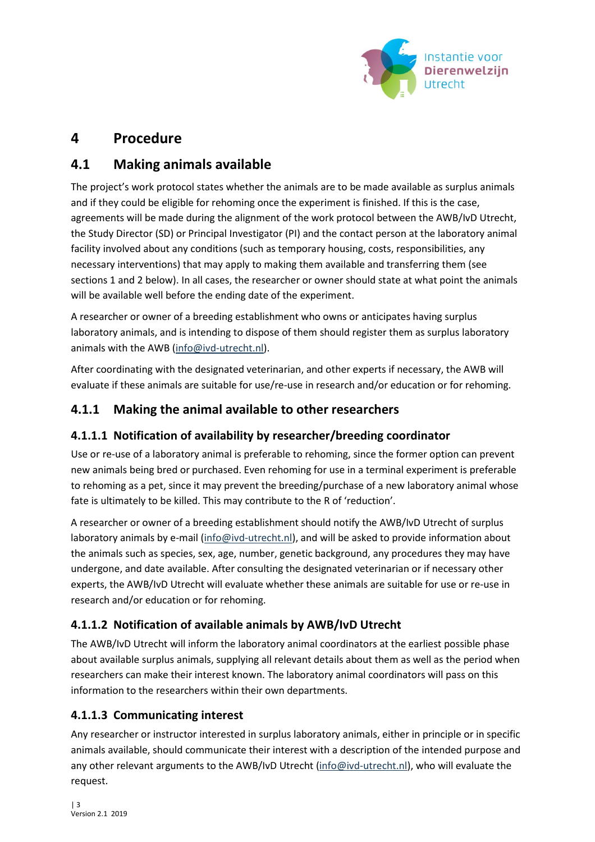

# <span id="page-2-0"></span>**4 Procedure**

# <span id="page-2-1"></span>**4.1 Making animals available**

The project's work protocol states whether the animals are to be made available as surplus animals and if they could be eligible for rehoming once the experiment is finished. If this is the case, agreements will be made during the alignment of the work protocol between the AWB/IvD Utrecht, the Study Director (SD) or Principal Investigator (PI) and the contact person at the laboratory animal facility involved about any conditions (such as temporary housing, costs, responsibilities, any necessary interventions) that may apply to making them available and transferring them (see sections 1 and 2 below). In all cases, the researcher or owner should state at what point the animals will be available well before the ending date of the experiment.

A researcher or owner of a breeding establishment who owns or anticipates having surplus laboratory animals, and is intending to dispose of them should register them as surplus laboratory animals with the AWB [\(info@ivd-utrecht.nl\)](mailto:info@ivd-utrecht.nl).

After coordinating with the designated veterinarian, and other experts if necessary, the AWB will evaluate if these animals are suitable for use/re-use in research and/or education or for rehoming.

## <span id="page-2-2"></span>**4.1.1 Making the animal available to other researchers**

#### **4.1.1.1 Notification of availability by researcher/breeding coordinator**

Use or re-use of a laboratory animal is preferable to rehoming, since the former option can prevent new animals being bred or purchased. Even rehoming for use in a terminal experiment is preferable to rehoming as a pet, since it may prevent the breeding/purchase of a new laboratory animal whose fate is ultimately to be killed. This may contribute to the R of 'reduction'.

A researcher or owner of a breeding establishment should notify the AWB/IvD Utrecht of surplus laboratory animals by e-mail [\(info@ivd-utrecht.nl\)](mailto:info@ivd-utrecht.nl), and will be asked to provide information about the animals such as species, sex, age, number, genetic background, any procedures they may have undergone, and date available. After consulting the designated veterinarian or if necessary other experts, the AWB/IvD Utrecht will evaluate whether these animals are suitable for use or re-use in research and/or education or for rehoming.

## **4.1.1.2 Notification of available animals by AWB/IvD Utrecht**

The AWB/IvD Utrecht will inform the laboratory animal coordinators at the earliest possible phase about available surplus animals, supplying all relevant details about them as well as the period when researchers can make their interest known. The laboratory animal coordinators will pass on this information to the researchers within their own departments.

## **4.1.1.3 Communicating interest**

Any researcher or instructor interested in surplus laboratory animals, either in principle or in specific animals available, should communicate their interest with a description of the intended purpose and any other relevant arguments to the AWB/IvD Utrecht [\(info@ivd-utrecht.nl\)](mailto:info@ivd-utrecht.nl), who will evaluate the request.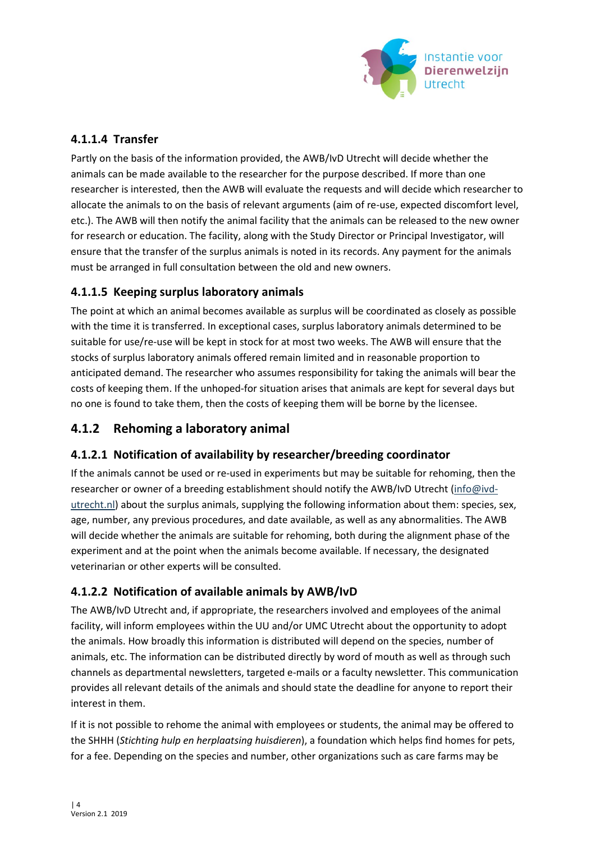

#### **4.1.1.4 Transfer**

Partly on the basis of the information provided, the AWB/IvD Utrecht will decide whether the animals can be made available to the researcher for the purpose described. If more than one researcher is interested, then the AWB will evaluate the requests and will decide which researcher to allocate the animals to on the basis of relevant arguments (aim of re-use, expected discomfort level, etc.). The AWB will then notify the animal facility that the animals can be released to the new owner for research or education. The facility, along with the Study Director or Principal Investigator, will ensure that the transfer of the surplus animals is noted in its records. Any payment for the animals must be arranged in full consultation between the old and new owners.

#### **4.1.1.5 Keeping surplus laboratory animals**

The point at which an animal becomes available as surplus will be coordinated as closely as possible with the time it is transferred. In exceptional cases, surplus laboratory animals determined to be suitable for use/re-use will be kept in stock for at most two weeks. The AWB will ensure that the stocks of surplus laboratory animals offered remain limited and in reasonable proportion to anticipated demand. The researcher who assumes responsibility for taking the animals will bear the costs of keeping them. If the unhoped-for situation arises that animals are kept for several days but no one is found to take them, then the costs of keeping them will be borne by the licensee.

## <span id="page-3-0"></span>**4.1.2 Rehoming a laboratory animal**

#### **4.1.2.1 Notification of availability by researcher/breeding coordinator**

If the animals cannot be used or re-used in experiments but may be suitable for rehoming, then the researcher or owner of a breeding establishment should notify the AWB/IvD Utrecht [\(info@ivd](mailto:info@ivd-utrecht.nl)[utrecht.nl\)](mailto:info@ivd-utrecht.nl) about the surplus animals, supplying the following information about them: species, sex, age, number, any previous procedures, and date available, as well as any abnormalities. The AWB will decide whether the animals are suitable for rehoming, both during the alignment phase of the experiment and at the point when the animals become available. If necessary, the designated veterinarian or other experts will be consulted.

#### **4.1.2.2 Notification of available animals by AWB/IvD**

The AWB/IvD Utrecht and, if appropriate, the researchers involved and employees of the animal facility, will inform employees within the UU and/or UMC Utrecht about the opportunity to adopt the animals. How broadly this information is distributed will depend on the species, number of animals, etc. The information can be distributed directly by word of mouth as well as through such channels as departmental newsletters, targeted e-mails or a faculty newsletter. This communication provides all relevant details of the animals and should state the deadline for anyone to report their interest in them.

If it is not possible to rehome the animal with employees or students, the animal may be offered to the SHHH (*Stichting hulp en herplaatsing huisdieren*), a foundation which helps find homes for pets, for a fee. Depending on the species and number, other organizations such as care farms may be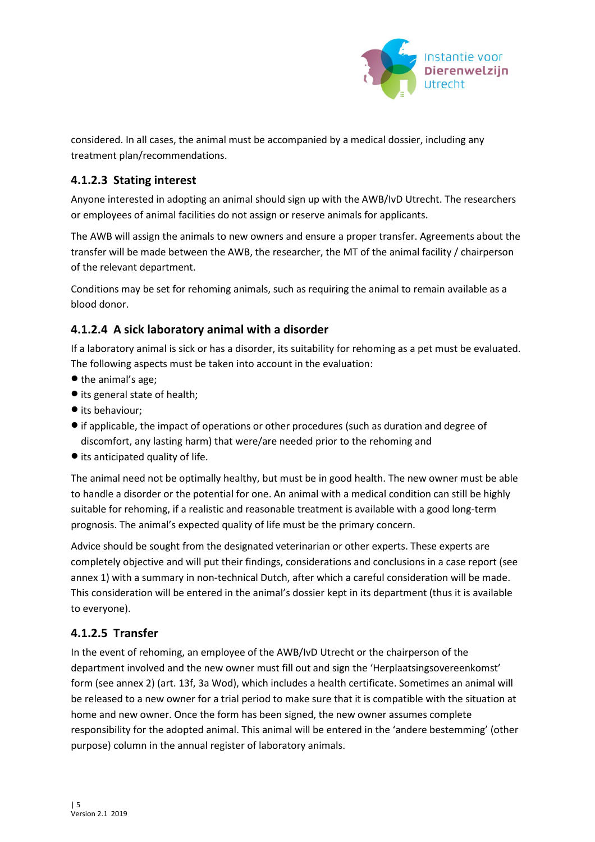

considered. In all cases, the animal must be accompanied by a medical dossier, including any treatment plan/recommendations.

#### **4.1.2.3 Stating interest**

Anyone interested in adopting an animal should sign up with the AWB/IvD Utrecht. The researchers or employees of animal facilities do not assign or reserve animals for applicants.

The AWB will assign the animals to new owners and ensure a proper transfer. Agreements about the transfer will be made between the AWB, the researcher, the MT of the animal facility / chairperson of the relevant department.

Conditions may be set for rehoming animals, such as requiring the animal to remain available as a blood donor.

#### **4.1.2.4 A sick laboratory animal with a disorder**

If a laboratory animal is sick or has a disorder, its suitability for rehoming as a pet must be evaluated. The following aspects must be taken into account in the evaluation:

- the animal's age;
- its general state of health;
- its behaviour;
- if applicable, the impact of operations or other procedures (such as duration and degree of discomfort, any lasting harm) that were/are needed prior to the rehoming and
- its anticipated quality of life.

The animal need not be optimally healthy, but must be in good health. The new owner must be able to handle a disorder or the potential for one. An animal with a medical condition can still be highly suitable for rehoming, if a realistic and reasonable treatment is available with a good long-term prognosis. The animal's expected quality of life must be the primary concern.

Advice should be sought from the designated veterinarian or other experts. These experts are completely objective and will put their findings, considerations and conclusions in a case report (see annex 1) with a summary in non-technical Dutch, after which a careful consideration will be made. This consideration will be entered in the animal's dossier kept in its department (thus it is available to everyone).

#### **4.1.2.5 Transfer**

In the event of rehoming, an employee of the AWB/IvD Utrecht or the chairperson of the department involved and the new owner must fill out and sign the 'Herplaatsingsovereenkomst' form (see annex 2) (art. 13f, 3a Wod), which includes a health certificate. Sometimes an animal will be released to a new owner for a trial period to make sure that it is compatible with the situation at home and new owner. Once the form has been signed, the new owner assumes complete responsibility for the adopted animal. This animal will be entered in the 'andere bestemming' (other purpose) column in the annual register of laboratory animals.